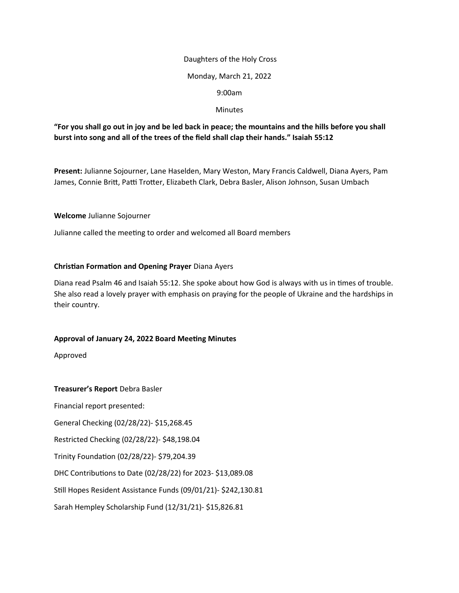#### Daughters of the Holy Cross

### Monday, March 21, 2022

#### 9:00am

### **Minutes**

# **"For you shall go out in joy and be led back in peace; the mountains and the hills before you shall burst into song and all of the trees of the field shall clap their hands." Isaiah 55:12**

**Present:** Julianne Sojourner, Lane Haselden, Mary Weston, Mary Francis Caldwell, Diana Ayers, Pam James, Connie Britt, Patti Trotter, Elizabeth Clark, Debra Basler, Alison Johnson, Susan Umbach

#### **Welcome** Julianne Sojourner

Julianne called the meeting to order and welcomed all Board members

# **Christian Formation and Opening Prayer** Diana Ayers

Diana read Psalm 46 and Isaiah 55:12. She spoke about how God is always with us in times of trouble. She also read a lovely prayer with emphasis on praying for the people of Ukraine and the hardships in their country.

# **Approval of January 24, 2022 Board Meeting Minutes**

Approved

**Treasurer's Report** Debra Basler

Financial report presented: General Checking (02/28/22)- \$15,268.45

Restricted Checking (02/28/22)- \$48,198.04

Trinity Foundation (02/28/22)- \$79,204.39

DHC Contributions to Date (02/28/22) for 2023- \$13,089.08

Still Hopes Resident Assistance Funds (09/01/21)- \$242,130.81

Sarah Hempley Scholarship Fund (12/31/21)- \$15,826.81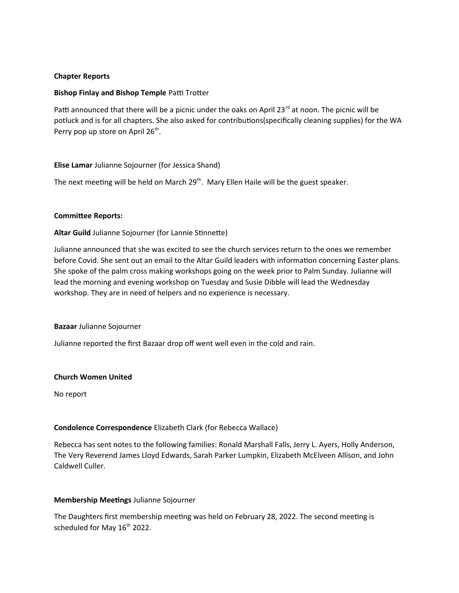# **Chapter Reports**

### **Bishop Finlay and Bishop Temple** Patti Trotter

Patti announced that there will be a picnic under the oaks on April 23<sup>rd</sup> at noon. The picnic will be potluck and is for all chapters. She also asked for contributions(specifically cleaning supplies) for the WA Perry pop up store on April 26<sup>th</sup>.

#### **Elise Lamar** Julianne Sojourner (for Jessica Shand)

The next meeting will be held on March  $29<sup>th</sup>$ . Mary Ellen Haile will be the guest speaker.

#### **Committee Reports:**

#### **Altar Guild** Julianne Sojourner (for Lannie Stinnette)

Julianne announced that she was excited to see the church services return to the ones we remember before Covid. She sent out an email to the Altar Guild leaders with information concerning Easter plans. She spoke of the palm cross making workshops going on the week prior to Palm Sunday. Julianne will lead the morning and evening workshop on Tuesday and Susie Dibble will lead the Wednesday workshop. They are in need of helpers and no experience is necessary.

#### **Bazaar** Julianne Sojourner

Julianne reported the first Bazaar drop off went well even in the cold and rain.

#### **Church Women United**

No report

#### **Condolence Correspondence** Elizabeth Clark (for Rebecca Wallace)

Rebecca has sent notes to the following families: Ronald Marshall Falls, Jerry L. Ayers, Holly Anderson, The Very Reverend James Lloyd Edwards, Sarah Parker Lumpkin, Elizabeth McElveen Allison, and John Caldwell Culler.

#### **Membership Meetings** Julianne Sojourner

The Daughters first membership meeting was held on February 28, 2022. The second meeting is scheduled for May 16<sup>th</sup> 2022.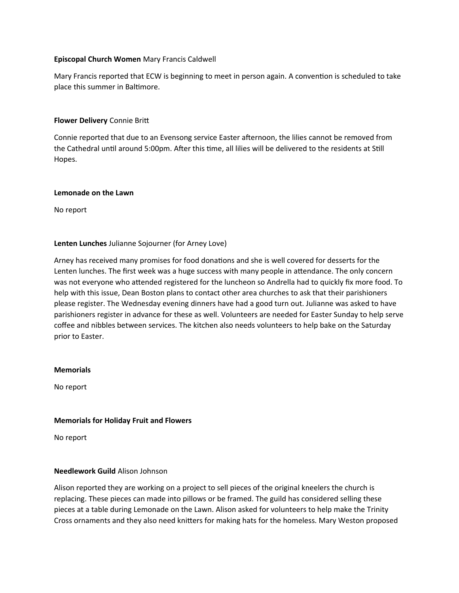# **Episcopal Church Women** Mary Francis Caldwell

Mary Francis reported that ECW is beginning to meet in person again. A convention is scheduled to take place this summer in Baltimore.

### **Flower Delivery** Connie Britt

Connie reported that due to an Evensong service Easter afternoon, the lilies cannot be removed from the Cathedral until around 5:00pm. After this time, all lilies will be delivered to the residents at Still Hopes.

#### **Lemonade on the Lawn**

No report

#### **Lenten Lunches** Julianne Sojourner (for Arney Love)

Arney has received many promises for food donations and she is well covered for desserts for the Lenten lunches. The first week was a huge success with many people in attendance. The only concern was not everyone who attended registered for the luncheon so Andrella had to quickly fix more food. To help with this issue, Dean Boston plans to contact other area churches to ask that their parishioners please register. The Wednesday evening dinners have had a good turn out. Julianne was asked to have parishioners register in advance for these as well. Volunteers are needed for Easter Sunday to help serve coffee and nibbles between services. The kitchen also needs volunteers to help bake on the Saturday prior to Easter.

#### **Memorials**

No report

#### **Memorials for Holiday Fruit and Flowers**

No report

#### **Needlework Guild** Alison Johnson

Alison reported they are working on a project to sell pieces of the original kneelers the church is replacing. These pieces can made into pillows or be framed. The guild has considered selling these pieces at a table during Lemonade on the Lawn. Alison asked for volunteers to help make the Trinity Cross ornaments and they also need knitters for making hats for the homeless. Mary Weston proposed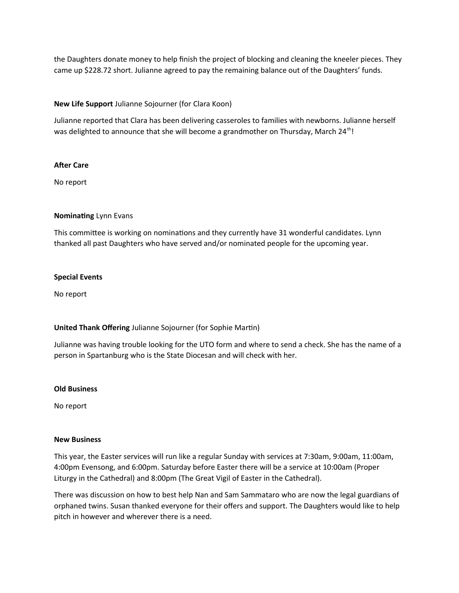the Daughters donate money to help finish the project of blocking and cleaning the kneeler pieces. They came up \$228.72 short. Julianne agreed to pay the remaining balance out of the Daughters' funds.

# **New Life Support** Julianne Sojourner (for Clara Koon)

Julianne reported that Clara has been delivering casseroles to families with newborns. Julianne herself was delighted to announce that she will become a grandmother on Thursday, March 24<sup>th</sup>!

# **After Care**

No report

# **Nominating** Lynn Evans

This committee is working on nominations and they currently have 31 wonderful candidates. Lynn thanked all past Daughters who have served and/or nominated people for the upcoming year.

# **Special Events**

No report

# **United Thank Offering** Julianne Sojourner (for Sophie Martin)

Julianne was having trouble looking for the UTO form and where to send a check. She has the name of a person in Spartanburg who is the State Diocesan and will check with her.

# **Old Business**

No report

# **New Business**

This year, the Easter services will run like a regular Sunday with services at 7:30am, 9:00am, 11:00am, 4:00pm Evensong, and 6:00pm. Saturday before Easter there will be a service at 10:00am (Proper Liturgy in the Cathedral) and 8:00pm (The Great Vigil of Easter in the Cathedral).

There was discussion on how to best help Nan and Sam Sammataro who are now the legal guardians of orphaned twins. Susan thanked everyone for their offers and support. The Daughters would like to help pitch in however and wherever there is a need.